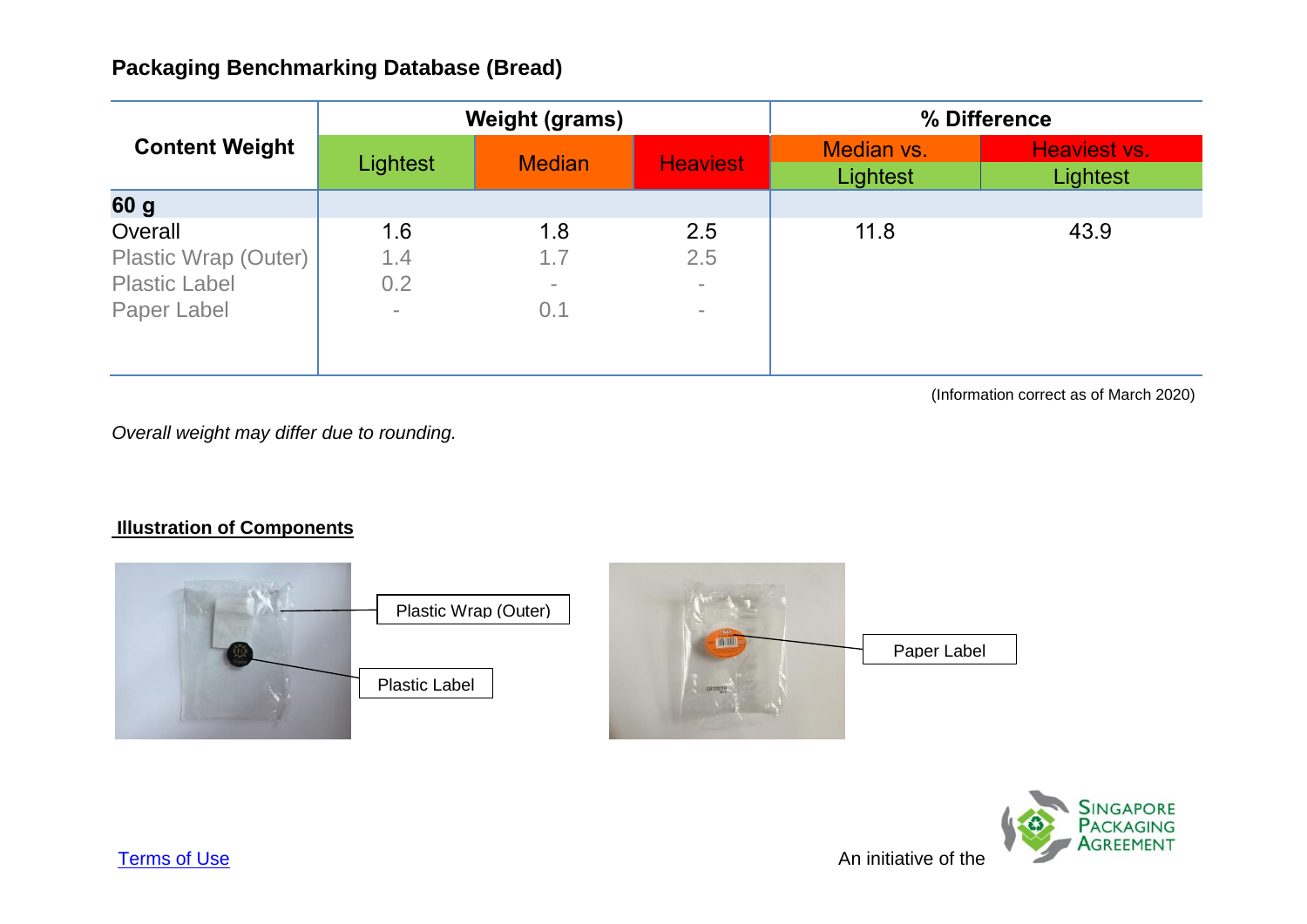|                       | <b>Weight (grams)</b> |               |                 | % Difference           |                          |
|-----------------------|-----------------------|---------------|-----------------|------------------------|--------------------------|
| <b>Content Weight</b> | Lightest              | <b>Median</b> | <b>Heaviest</b> | Median vs.<br>Lightest | Heaviest vs.<br>Lightest |
| 60 g                  |                       |               |                 |                        |                          |
| Overall               | 1.6                   | 1.8           | 2.5             | 11.8                   | 43.9                     |
| Plastic Wrap (Outer)  | 1.4                   | 1.7           | 2.5             |                        |                          |
| <b>Plastic Label</b>  | 0.2                   | $\equiv$      | $\equiv$        |                        |                          |
| Paper Label           | $\equiv$              | 0.1           | $\equiv$        |                        |                          |

(Information correct as of March 2020)

*Overall weight may differ due to rounding.*



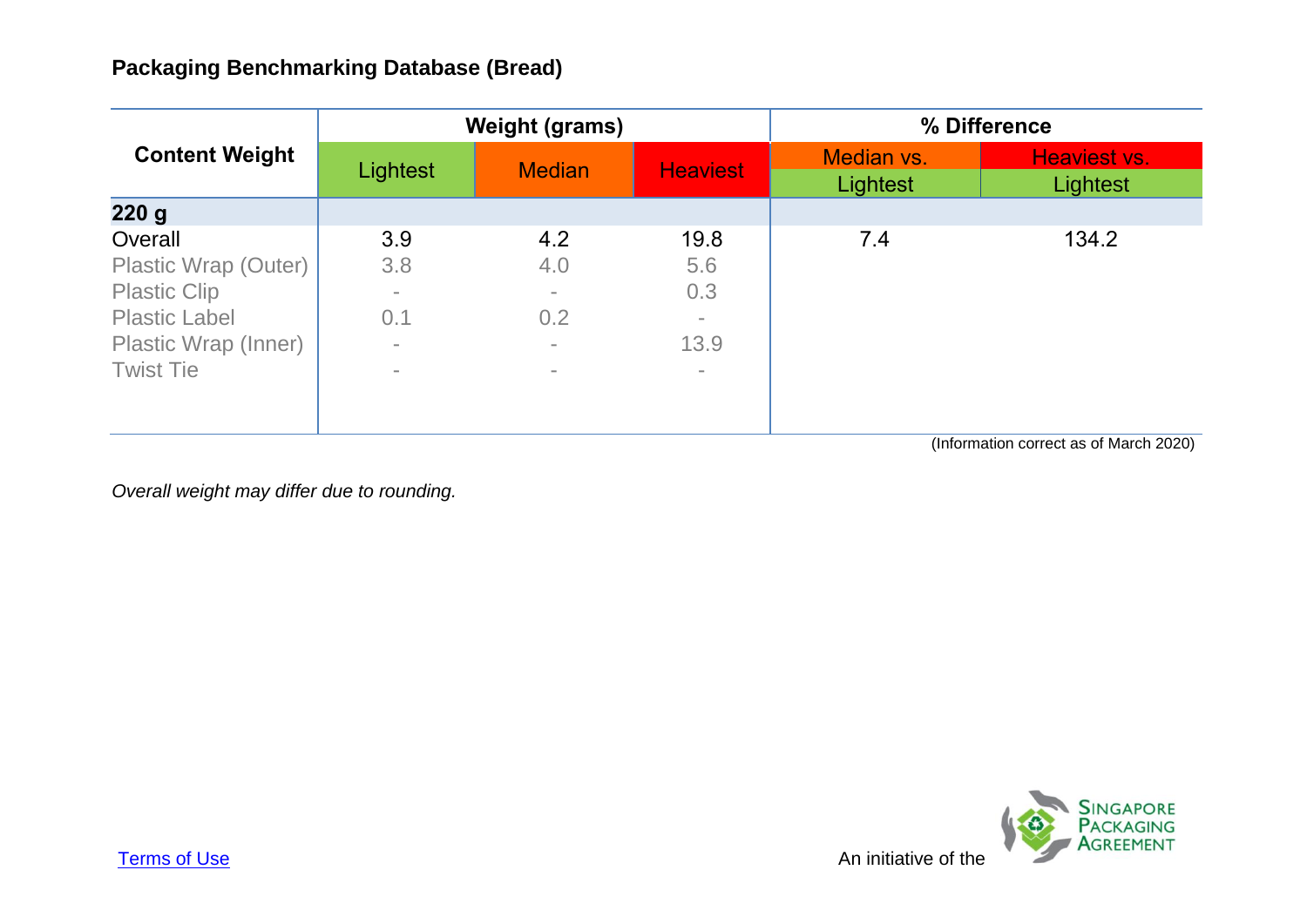| <b>Content Weight</b> |                | <b>Weight (grams)</b> |                          | % Difference           |                          |
|-----------------------|----------------|-----------------------|--------------------------|------------------------|--------------------------|
|                       | Lightest       | <b>Median</b>         | <b>Heaviest</b>          | Median vs.<br>Lightest | Heaviest vs.<br>Lightest |
| 220 g                 |                |                       |                          |                        |                          |
| Overall               | 3.9            | 4.2                   | 19.8                     | 7.4                    | 134.2                    |
| Plastic Wrap (Outer)  | 3.8            | 4.0                   | 5.6                      |                        |                          |
| <b>Plastic Clip</b>   | $\sim$         | $\equiv$              | 0.3                      |                        |                          |
| <b>Plastic Label</b>  | 0.1            | 0.2                   | $\overline{\phantom{a}}$ |                        |                          |
| Plastic Wrap (Inner)  | $\overline{a}$ | $\equiv$              | 13.9                     |                        |                          |
| <b>Twist Tie</b>      | $\sim$         | $\equiv$              | $\overline{\phantom{a}}$ |                        |                          |
|                       |                |                       |                          |                        |                          |
|                       |                |                       |                          |                        |                          |

(Information correct as of March 2020)

*Overall weight may differ due to rounding.*

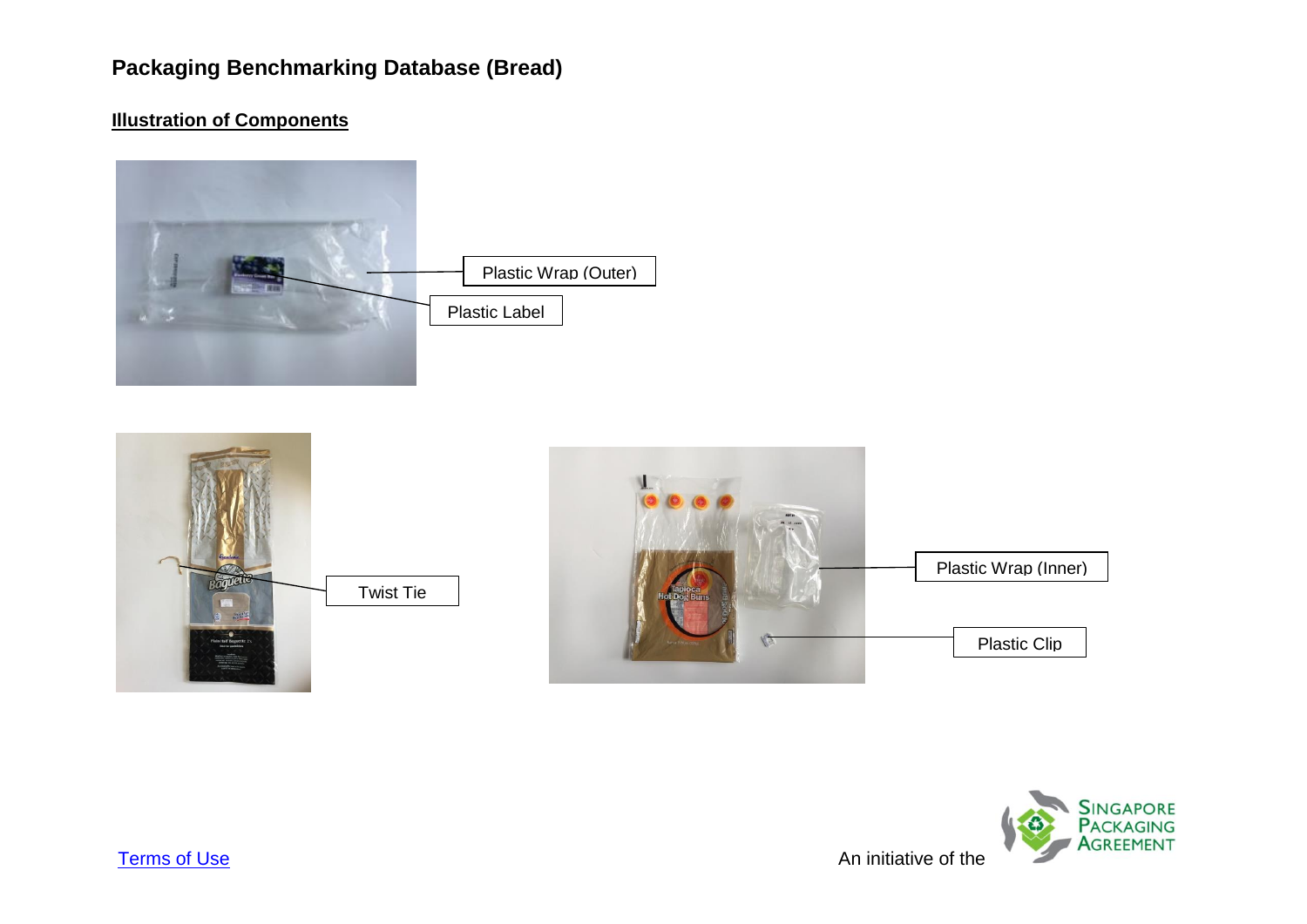





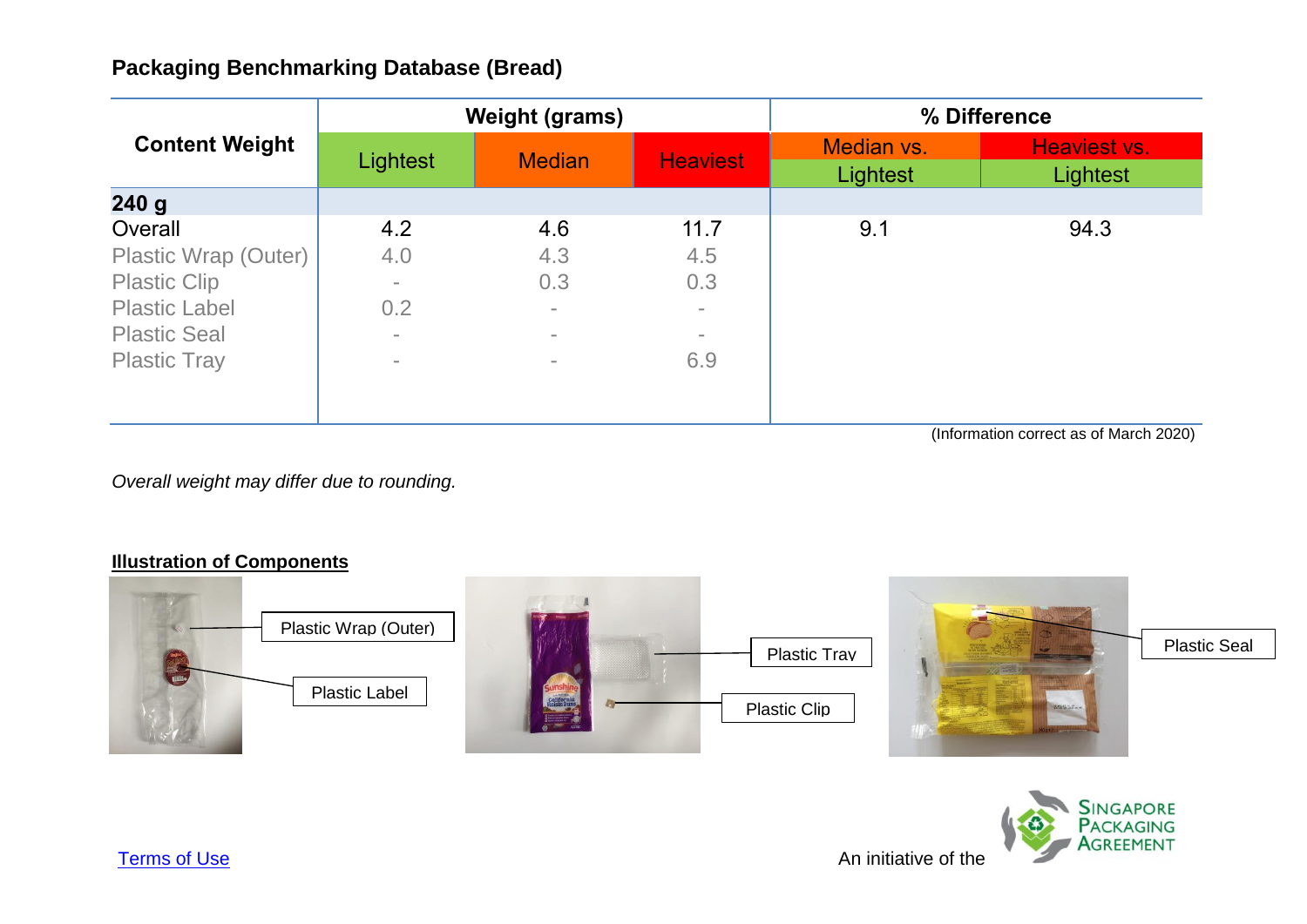| <b>Content Weight</b> |          | <b>Weight (grams)</b> |                 |                        | % Difference             |
|-----------------------|----------|-----------------------|-----------------|------------------------|--------------------------|
|                       | Lightest | <b>Median</b>         | <b>Heaviest</b> | Median vs.<br>Lightest | Heaviest vs.<br>Lightest |
| 240g                  |          |                       |                 |                        |                          |
| Overall               | 4.2      | 4.6                   | 11.7            | 9.1                    | 94.3                     |
| Plastic Wrap (Outer)  | 4.0      | 4.3                   | 4.5             |                        |                          |
| <b>Plastic Clip</b>   |          | 0.3                   | 0.3             |                        |                          |
| <b>Plastic Label</b>  | 0.2      | $\sim$                | $\equiv$        |                        |                          |
| <b>Plastic Seal</b>   | $\sim$   | $\equiv$              | $\equiv$        |                        |                          |
| <b>Plastic Tray</b>   | $\sim$   | $\equiv$              | 6.9             |                        |                          |
|                       |          |                       |                 |                        |                          |
|                       |          |                       |                 |                        |                          |

(Information correct as of March 2020)

*Overall weight may differ due to rounding.*



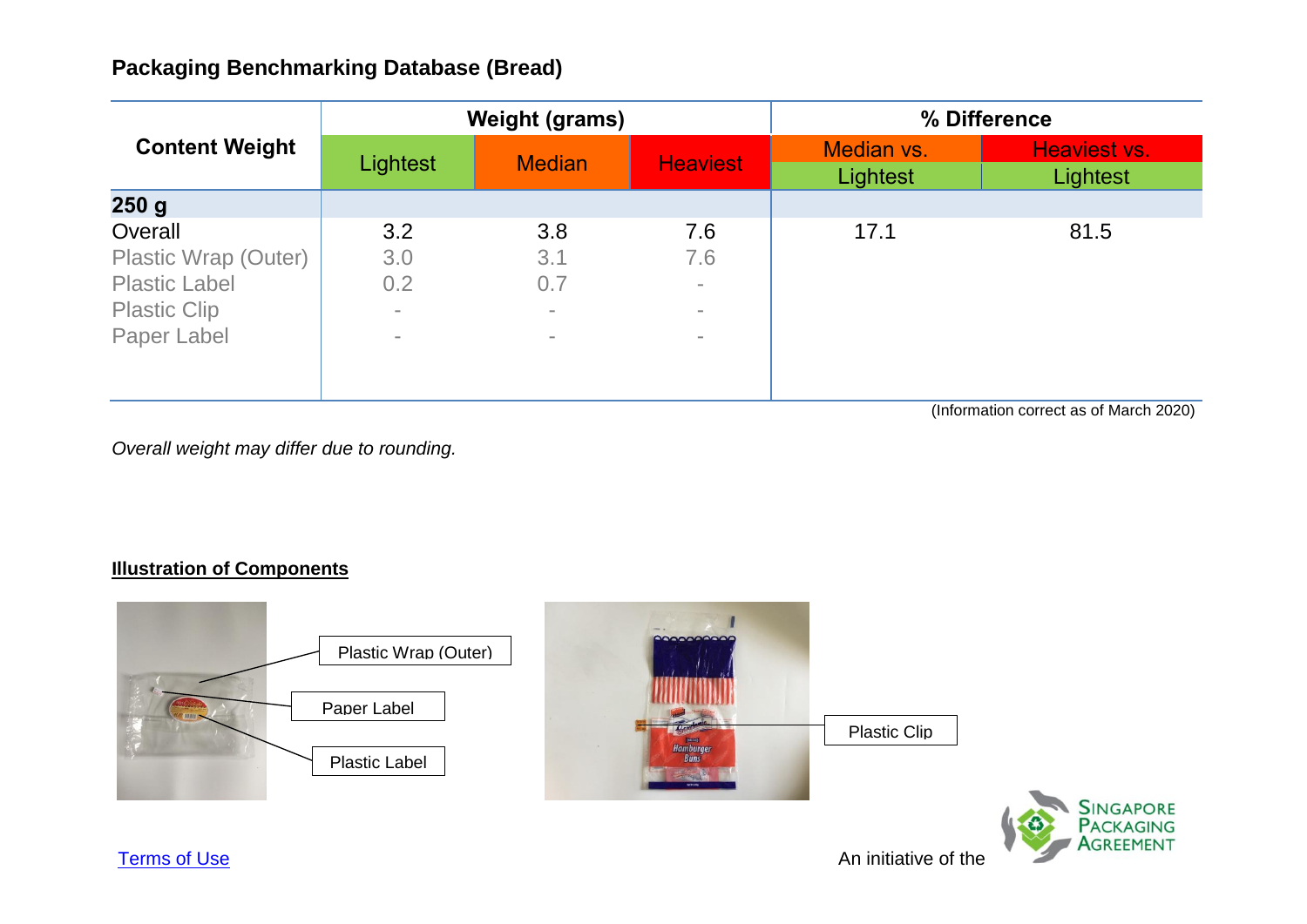|                       |          | <b>Weight (grams)</b> |                 |                        | % Difference             |
|-----------------------|----------|-----------------------|-----------------|------------------------|--------------------------|
| <b>Content Weight</b> | Lightest | <b>Median</b>         | <b>Heaviest</b> | Median vs.<br>Lightest | Heaviest vs.<br>Lightest |
| 250 <sub>g</sub>      |          |                       |                 |                        |                          |
| Overall               | 3.2      | 3.8                   | 7.6             | 17.1                   | 81.5                     |
| Plastic Wrap (Outer)  | 3.0      | 3.1                   | 7.6             |                        |                          |
| <b>Plastic Label</b>  | 0.2      | 0.7                   | $\equiv$        |                        |                          |
| <b>Plastic Clip</b>   | $\equiv$ | $\equiv$              | $\equiv$        |                        |                          |
| Paper Label           | $\equiv$ | $\equiv$              | $\equiv$        |                        |                          |
|                       |          |                       |                 |                        |                          |
|                       |          |                       |                 |                        |                          |

(Information correct as of March 2020)

*Overall weight may differ due to rounding.*

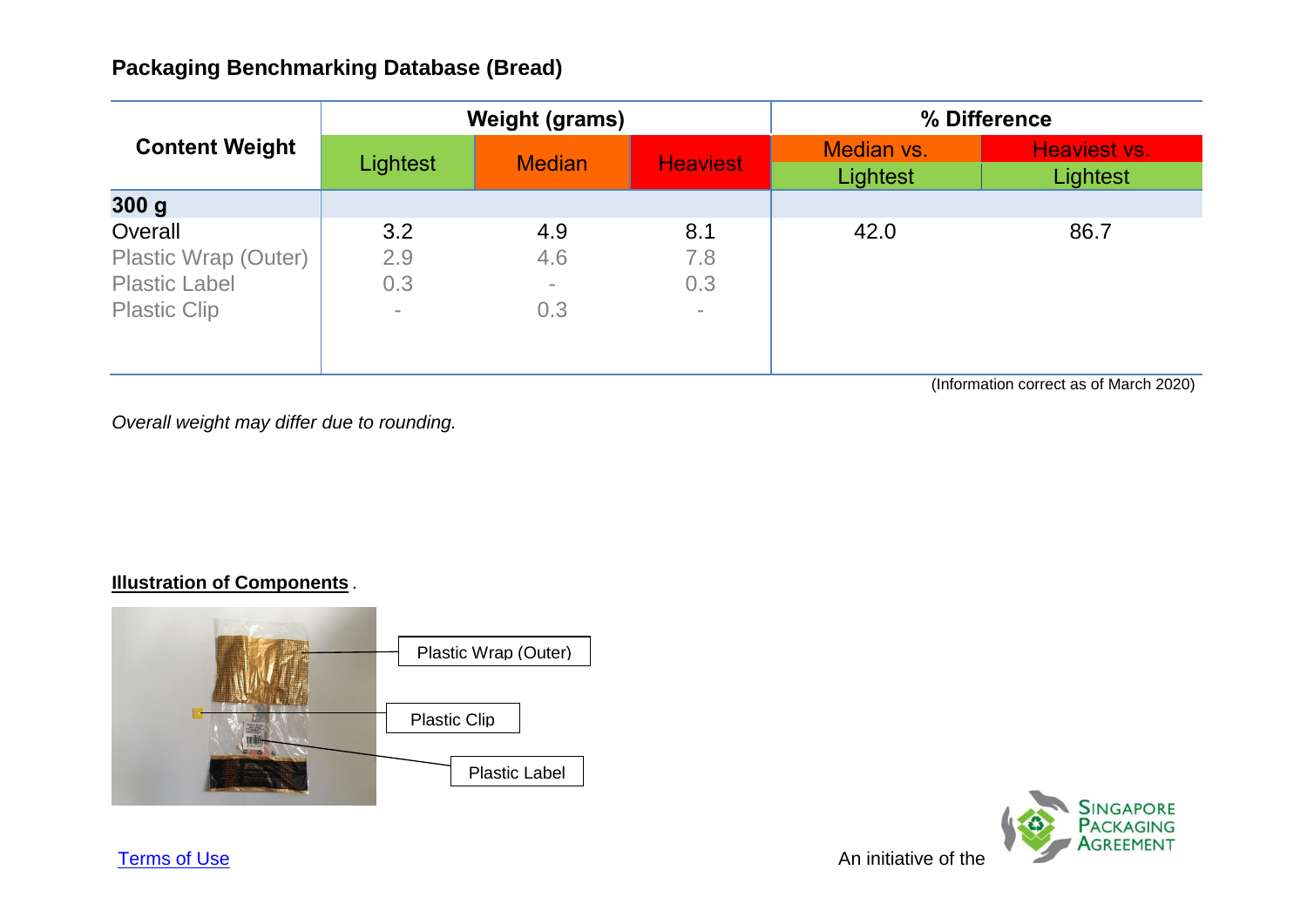| <b>Weight (grams)</b> |               |                 | % Difference           |                          |
|-----------------------|---------------|-----------------|------------------------|--------------------------|
| Lightest              | <b>Median</b> | <b>Heaviest</b> | Median vs.<br>Lightest | Heaviest vs.<br>Lightest |
|                       |               |                 |                        |                          |
| 3.2                   | 4.9           | 8.1             | 42.0                   | 86.7                     |
| 2.9                   | 4.6           | 7.8             |                        |                          |
| 0.3                   | $\sim$        | 0.3             |                        |                          |
| $\sim$                | 0.3           | $\sim$          |                        |                          |
|                       |               |                 |                        |                          |

(Information correct as of March 2020)

*Overall weight may differ due to rounding.*

### **Illustration of Components** *.*





**[Terms of Use](http://www.nea.gov.sg/terms-of-use)** An initiative of the Annual Structure of the Annual Structure Annual Structure of the Annual Structure of the Annual Structure of the Annual Structure of the Annual Structure of the Annual Structure of the A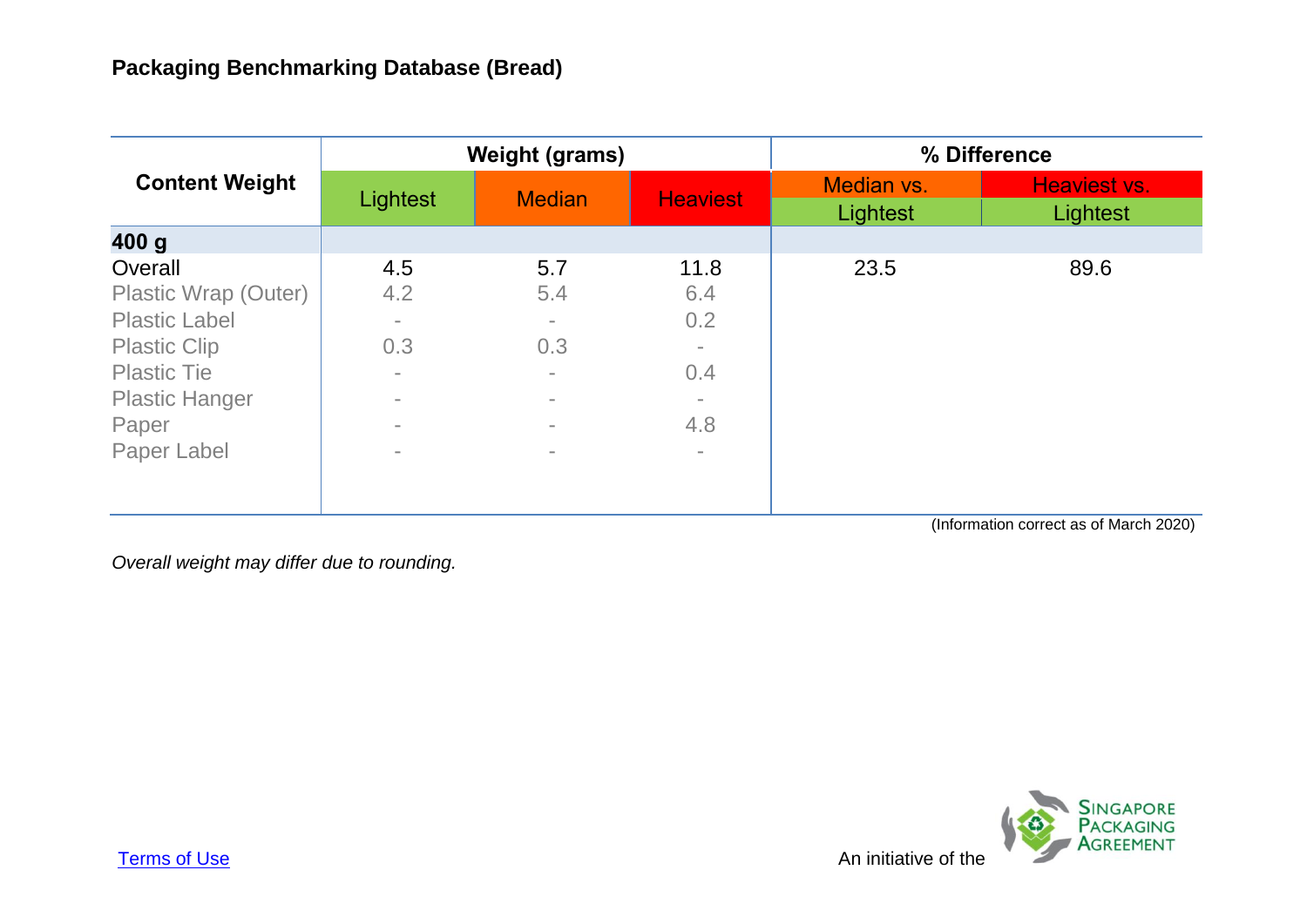|                       |                 | <b>Weight (grams)</b> |                          |                        | % Difference             |
|-----------------------|-----------------|-----------------------|--------------------------|------------------------|--------------------------|
| <b>Content Weight</b> | <b>Lightest</b> | <b>Median</b>         | <b>Heaviest</b>          | Median vs.<br>Lightest | Heaviest vs.<br>Lightest |
| 400 g                 |                 |                       |                          |                        |                          |
| Overall               | 4.5             | 5.7                   | 11.8                     | 23.5                   | 89.6                     |
| Plastic Wrap (Outer)  | 4.2             | 5.4                   | 6.4                      |                        |                          |
| <b>Plastic Label</b>  | $\equiv$        | $\equiv$              | 0.2                      |                        |                          |
| <b>Plastic Clip</b>   | 0.3             | 0.3                   | $\equiv$                 |                        |                          |
| <b>Plastic Tie</b>    |                 | $\equiv$              | 0.4                      |                        |                          |
| <b>Plastic Hanger</b> | $\equiv$        | $\equiv$              | $\sim$                   |                        |                          |
| Paper                 |                 | $\sim$                | 4.8                      |                        |                          |
| Paper Label           |                 | $\equiv$              | $\overline{\phantom{a}}$ |                        |                          |
|                       |                 |                       |                          |                        |                          |
|                       |                 |                       |                          |                        |                          |

(Information correct as of March 2020)

*Overall weight may differ due to rounding.*

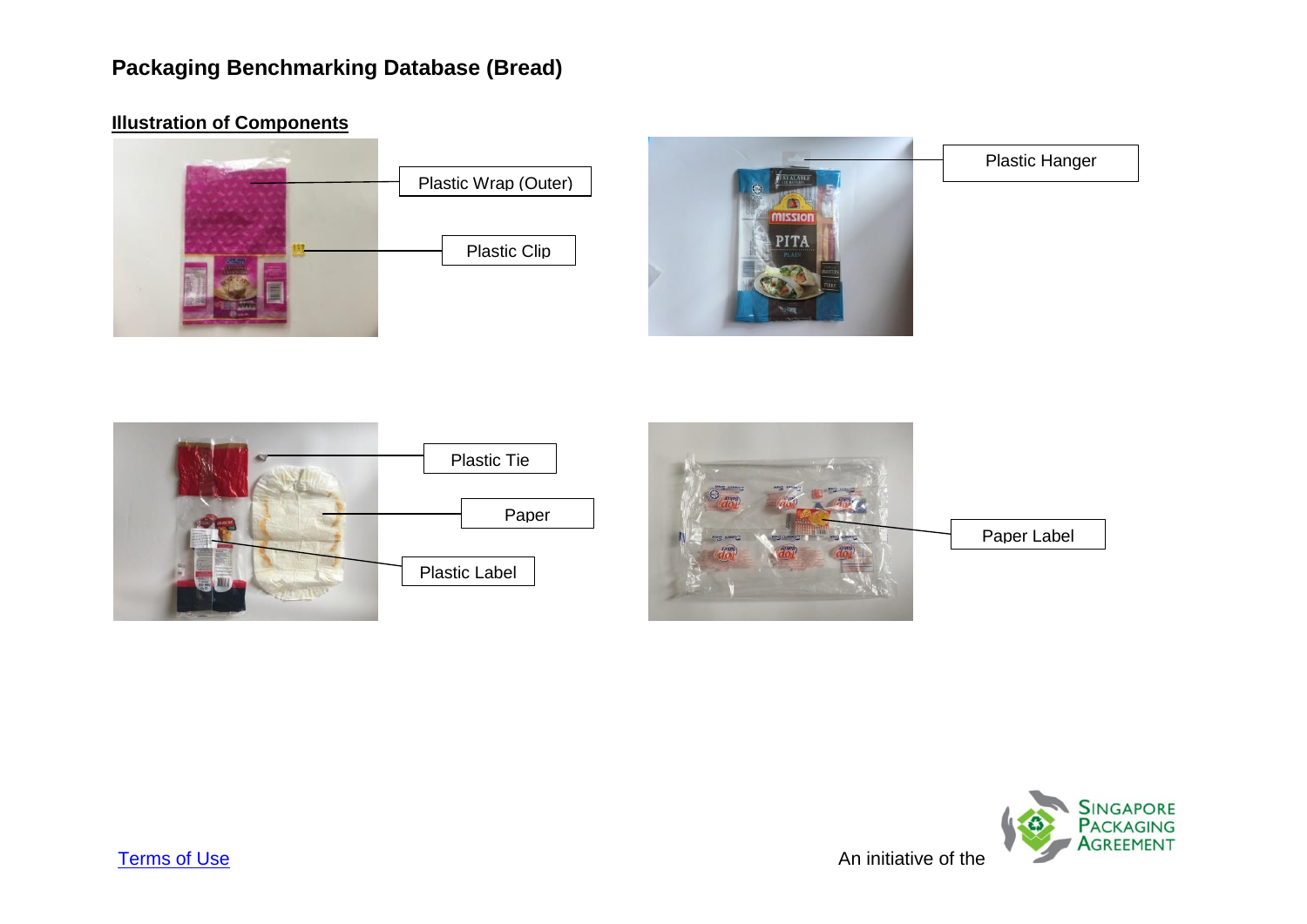**Illustration of Components**

# Plastic Wrap (Outer) Plastic Clip



Plastic Hanger







[Terms of Use](http://www.nea.gov.sg/terms-of-use) An initiative of the Annual Structure of the Annual Structure of the Annual Structure of the Annual Structure of the Annual Structure of the Annual Structure of the Annual Structure of the Annual Structure of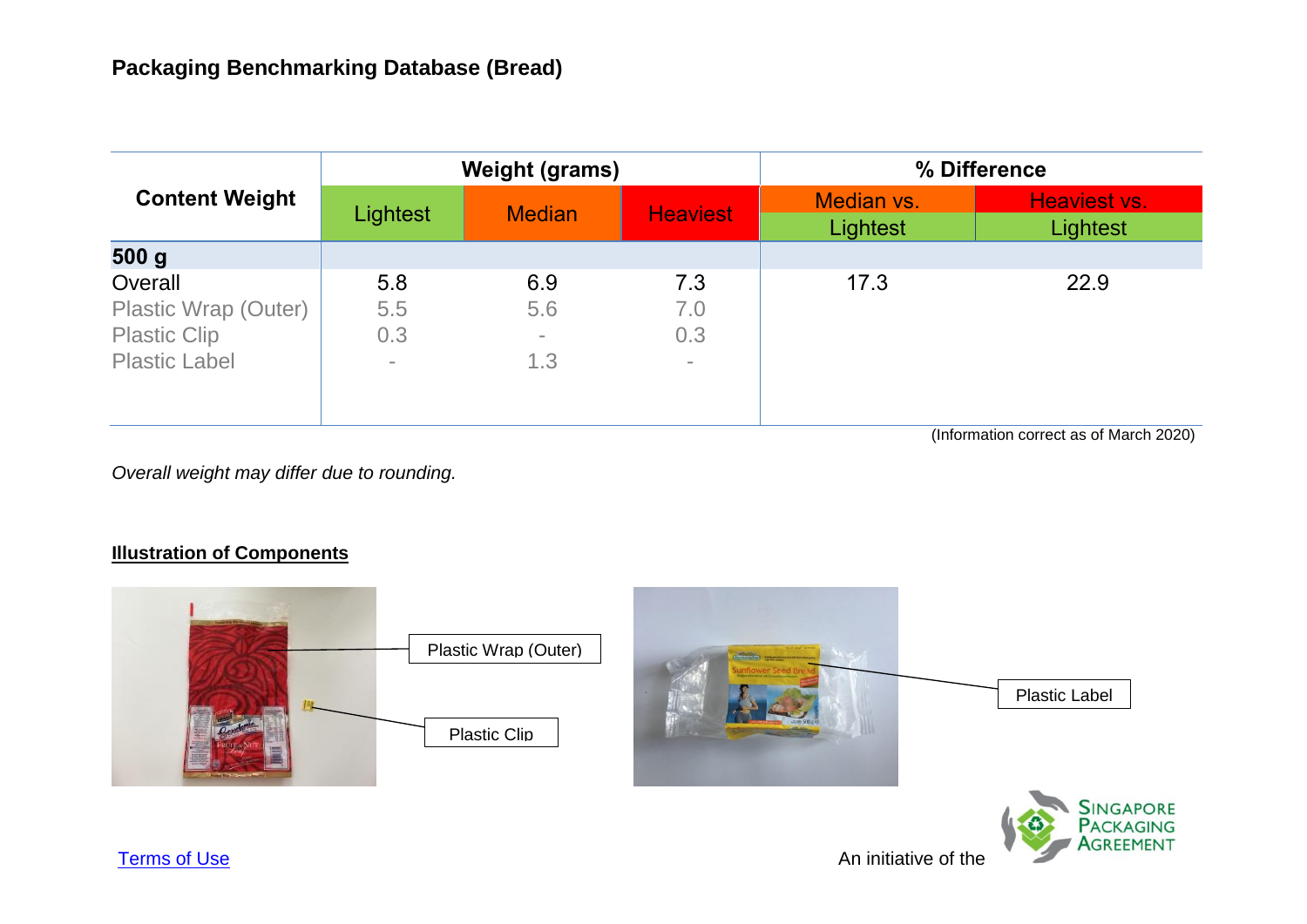| <b>Content Weight</b>                                                          |                               | <b>Weight (grams)</b>         |                             | % Difference           |                          |  |
|--------------------------------------------------------------------------------|-------------------------------|-------------------------------|-----------------------------|------------------------|--------------------------|--|
|                                                                                | Lightest                      | <b>Median</b>                 | <b>Heaviest</b>             | Median vs.<br>Lightest | Heaviest vs.<br>Lightest |  |
| 500 g                                                                          |                               |                               |                             |                        |                          |  |
| Overall<br>Plastic Wrap (Outer)<br><b>Plastic Clip</b><br><b>Plastic Label</b> | 5.8<br>5.5<br>0.3<br>$\equiv$ | 6.9<br>5.6<br>$\equiv$<br>1.3 | 7.3<br>7.0<br>0.3<br>$\sim$ | 17.3                   | 22.9                     |  |

(Information correct as of March 2020)

*Overall weight may differ due to rounding.*

### **Illustration of Components**



**SINGAPORE PACKAGING** Agreement